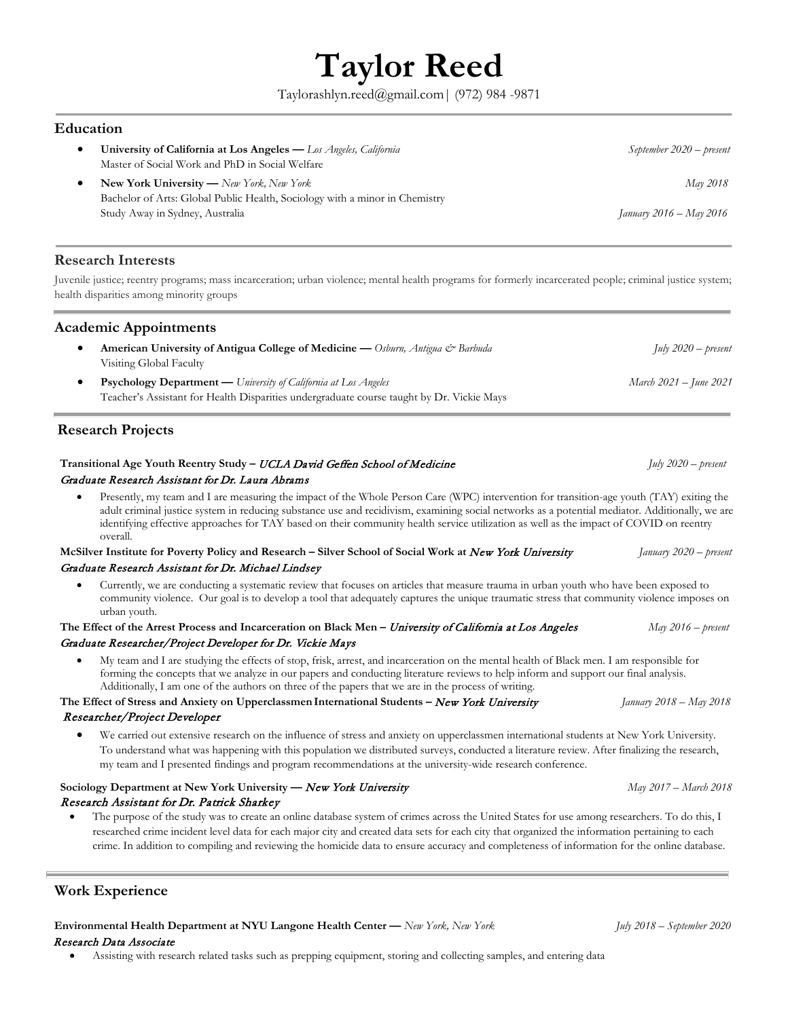# **Taylor Reed**

Taylorashlyn.reed@gmail.com| (972) 984 -9871

## **Education**

• **University of California at Los Angeles —** *Los Angeles, California September 2020 – present*  Master of Social Work and PhD in Social Welfare • **New York University —** *New York, New York May 2018* Bachelor of Arts: Global Public Health, Sociology with a minor in Chemistry Study Away in Sydney, Australia *January 2016 – May 2016*

# **Research Interests**

Juvenile justice; reentry programs; mass incarceration; urban violence; mental health programs for formerly incarcerated people; criminal justice system; health disparities among minority groups

# **Academic Appointments**

- **American University of Antigua College of Medicine —** *Osburn, Antigua & Barbuda July 2020 – present*  Visiting Global Faculty • **Psychology Department —** *University of California at Los Angeles March 2021 – June 2021*
- Teacher's Assistant for Health Disparities undergraduate course taught by Dr. Vickie Mays

# **Research Projects**

#### **Transitional Age Youth Reentry Study –** UCLA David Geffen School of Medicine *July 2020 – present* Graduate Research Assistant for Dr. Laura Abrams

• Presently, my team and I are measuring the impact of the Whole Person Care (WPC) intervention for transition-age youth (TAY) exiting the adult criminal justice system in reducing substance use and recidivism, examining social networks as a potential mediator. Additionally, we are identifying effective approaches for TAY based on their community health service utilization as well as the impact of COVID on reentry overall.

#### **McSilver Institute for Poverty Policy and Research – Silver School of Social Work at** New York University *January 2020 – present* Graduate Research Assistant for Dr. Michael Lindsey

• Currently, we are conducting a systematic review that focuses on articles that measure trauma in urban youth who have been exposed to community violence. Our goal is to develop a tool that adequately captures the unique traumatic stress that community violence imposes on urban youth.

#### **The Effect of the Arrest Process and Incarceration on Black Men –** University of California at Los Angeles *May 2016 – present* Graduate Researcher/Project Developer for Dr. Vickie Mays

• My team and I are studying the effects of stop, frisk, arrest, and incarceration on the mental health of Black men. I am responsible for forming the concepts that we analyze in our papers and conducting literature reviews to help inform and support our final analysis. Additionally, I am one of the authors on three of the papers that we are in the process of writing.

#### **The Effect of Stress and Anxiety on Upperclassmen International Students –** New York University *January 2018 – May 2018* Researcher/Project Developer

• We carried out extensive research on the influence of stress and anxiety on upperclassmen international students at New York University. To understand what was happening with this population we distributed surveys, conducted a literature review. After finalizing the research, my team and I presented findings and program recommendations at the university-wide research conference.

# **Sociology Department at New York University —** New York University *May 2017 – March 2018* Research Assistant for Dr. Patrick Sharkey

• The purpose of the study was to create an online database system of crimes across the United States for use among researchers. To do this, I researched crime incident level data for each major city and created data sets for each city that organized the information pertaining to each crime. In addition to compiling and reviewing the homicide data to ensure accuracy and completeness of information for the online database.

# **Work Experience**

**Environmental Health Department at NYU Langone Health Center —** *New York, New York July 2018 – September 2020* Research Data Associate

• Assisting with research related tasks such as prepping equipment, storing and collecting samples, and entering data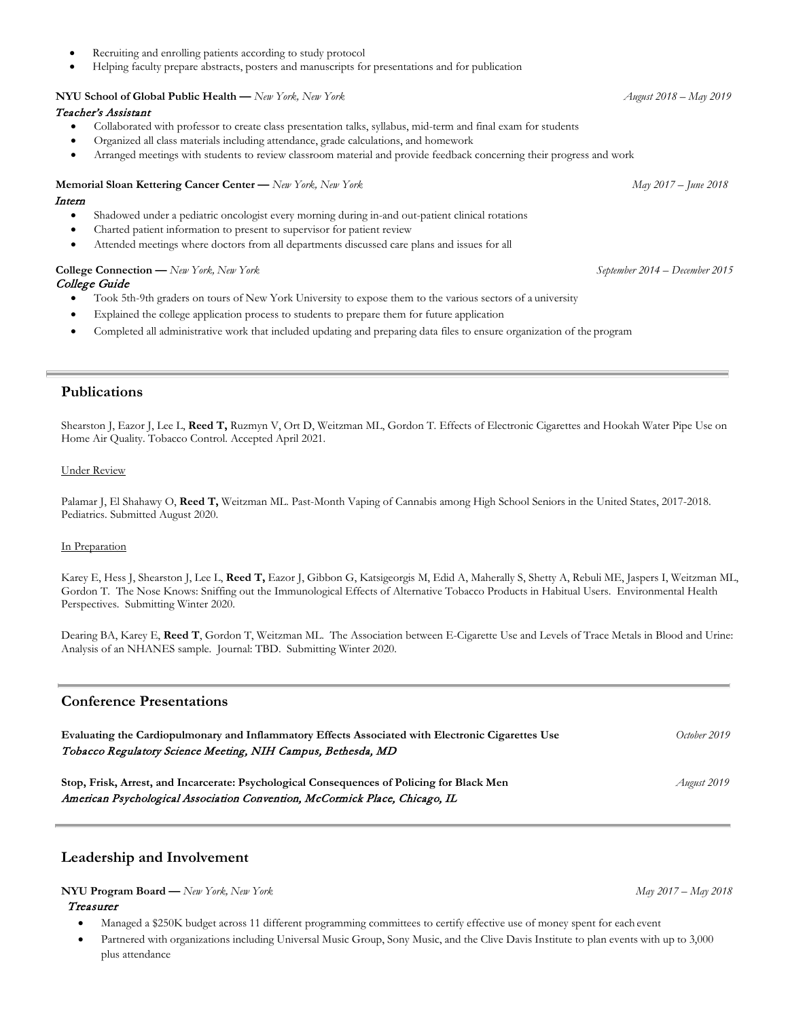- Recruiting and enrolling patients according to study protocol
- Helping faculty prepare abstracts, posters and manuscripts for presentations and for publication

# **NYU School of Global Public Health** — *New York*, *New York August* **2018 –** *August* **2018 –** *August* **2018 –** *August* **2019**

## Teacher's Assistant

- Collaborated with professor to create class presentation talks, syllabus, mid-term and final exam for students
- Organized all class materials including attendance, grade calculations, and homework
- Arranged meetings with students to review classroom material and provide feedback concerning their progress and work

# **Memorial Sloan Kettering Cancer Center —** *New York, New York* May 2017 – *June 2018*

## Intern

- Shadowed under a pediatric oncologist every morning during in-and out-patient clinical rotations
- Charted patient information to present to supervisor for patient review
- Attended meetings where doctors from all departments discussed care plans and issues for all

#### **College Connection —** *New York, New York September 2014 – December 2015* College Guide

- Took 5th-9th graders on tours of New York University to expose them to the various sectors of a university
- Explained the college application process to students to prepare them for future application
- Completed all administrative work that included updating and preparing data files to ensure organization of the program

# **Publications**

Shearston J, Eazor J, Lee L, **Reed T,** Ruzmyn V, Ort D, Weitzman ML, Gordon T. Effects of Electronic Cigarettes and Hookah Water Pipe Use on Home Air Quality. Tobacco Control. Accepted April 2021.

#### Under Review

Palamar J, El Shahawy O, **Reed T,** Weitzman ML. Past-Month Vaping of Cannabis among High School Seniors in the United States, 2017-2018. Pediatrics. Submitted August 2020.

#### In Preparation

Karey E, Hess J, Shearston J, Lee L, **Reed T,** Eazor J, Gibbon G, Katsigeorgis M, Edid A, Maherally S, Shetty A, Rebuli ME, Jaspers I, Weitzman ML, Gordon T. The Nose Knows: Sniffing out the Immunological Effects of Alternative Tobacco Products in Habitual Users. Environmental Health Perspectives. Submitting Winter 2020.

Dearing BA, Karey E, **Reed T**, Gordon T, Weitzman ML. The Association between E-Cigarette Use and Levels of Trace Metals in Blood and Urine: Analysis of an NHANES sample. Journal: TBD. Submitting Winter 2020.

## **Conference Presentations**

| Evaluating the Cardiopulmonary and Inflammatory Effects Associated with Electronic Cigarettes Use<br>Tobacco Regulatory Science Meeting, NIH Campus, Bethesda, MD | October 2019                                                                               |
|-------------------------------------------------------------------------------------------------------------------------------------------------------------------|--------------------------------------------------------------------------------------------|
|                                                                                                                                                                   |                                                                                            |
|                                                                                                                                                                   | Stop, Frisk, Arrest, and Incarcerate: Psychological Consequences of Policing for Black Men |
| American Psychological Association Convention, McCormick Place, Chicago, IL                                                                                       |                                                                                            |

# **Leadership and Involvement**

#### **NYU Program Board —** *New York, New York May 2017 – May 2018*

#### Treasurer

- Managed a \$250K budget across 11 different programming committees to certify effective use of money spent for each event
- Partnered with organizations including Universal Music Group, Sony Music, and the Clive Davis Institute to plan events with up to 3,000 plus attendance